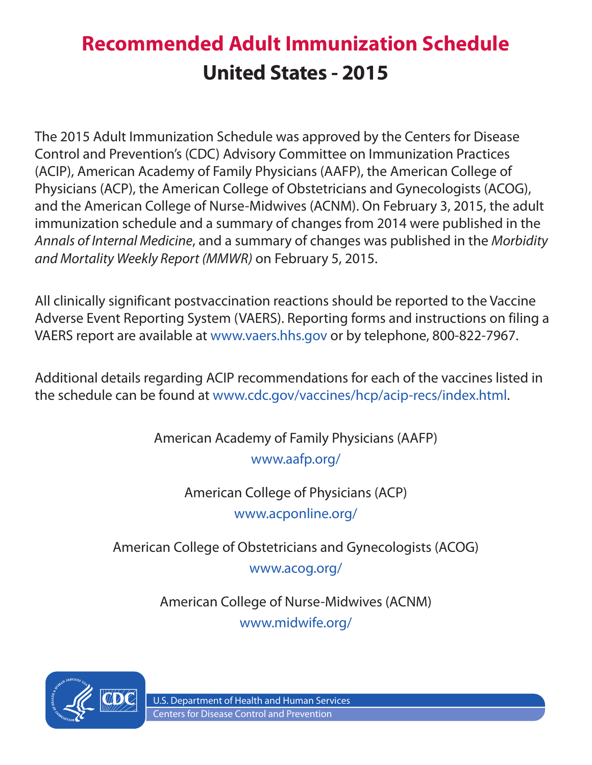# **Recommended Adult Immunization Schedule United States - 2015**

The 2015 Adult Immunization Schedule was approved by the Centers for Disease Control and Prevention's (CDC) Advisory Committee on Immunization Practices (ACIP), American Academy of Family Physicians (AAFP), the American College of Physicians (ACP), the American College of Obstetricians and Gynecologists (ACOG), and the American College of Nurse-Midwives (ACNM). On February 3, 2015, the adult immunization schedule and a summary of changes from 2014 were published in the *Annals of Internal Medicine*, and a summary of changes was published in the *Morbidity and Mortality Weekly Report (MMWR)* on February 5, 2015.

All clinically significant postvaccination reactions should be reported to the Vaccine Adverse Event Reporting System (VAERS). Reporting forms and instructions on filing a VAERS report are available at <www.vaers.hhs.gov> or by telephone, 800-822-7967.

Additional details regarding ACIP recommendations for each of the vaccines listed in the schedule can be found at [www.cdc.gov/vaccines/hcp/acip-recs/index.html](http://www.cdc.gov/vaccines/hcp/acip-recs/index.html).

American Academy of Family Physicians (AAFP)

[www.aafp.org](http://www.aafp.org/home.html)/

American College of Physicians (ACP) [www.acponline.org/](http://www.acponline.org)

American College of Obstetricians and Gynecologists (ACOG) [www.acog.org/](http://www.acog.org)

> American College of Nurse-Midwives (ACNM) [www.midwife.org/](http://www.midwife.org)

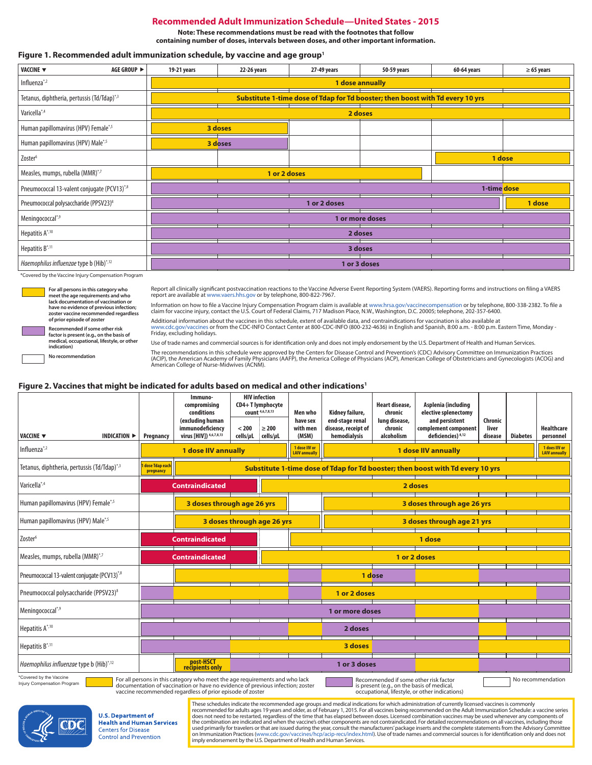# **Recommended Adult Immunization Schedule—United States - 2015**

**Note: These recommendations must be read with the footnotes that follow**

# **containing number of doses, intervals between doses, and other important information.**

# **Figure 1. Recommended adult immunization schedule, by vaccine and age group1**

| VACCINE $\blacktriangledown$<br>AGE GROUP ▶                                                                                                                                                                                         | 19-21 years                                                                    | 22-26 years     | 27-49 years  | 50-59 years     | 60-64 years | $\geq 65$ years |
|-------------------------------------------------------------------------------------------------------------------------------------------------------------------------------------------------------------------------------------|--------------------------------------------------------------------------------|-----------------|--------------|-----------------|-------------|-----------------|
| Influenza $^{\ast,2}$                                                                                                                                                                                                               |                                                                                | 1 dose annually |              |                 |             |                 |
| Tetanus, diphtheria, pertussis (Td/Tdap)*,3                                                                                                                                                                                         | Substitute 1-time dose of Tdap for Td booster; then boost with Td every 10 yrs |                 |              |                 |             |                 |
| Varicella <sup>*,4</sup>                                                                                                                                                                                                            |                                                                                |                 |              | 2 doses         |             |                 |
| Human papillomavirus (HPV) Female*,5                                                                                                                                                                                                |                                                                                | 3 doses         |              |                 |             |                 |
| Human papillomavirus (HPV) Male*,5                                                                                                                                                                                                  |                                                                                | 3 doses         |              |                 |             |                 |
| Zoster <sup>6</sup>                                                                                                                                                                                                                 |                                                                                |                 |              |                 |             | 1 dose          |
| Measles, mumps, rubella (MMR) <sup>*,7</sup>                                                                                                                                                                                        |                                                                                | 1 or 2 doses    |              |                 |             |                 |
| Pneumococcal 13-valent conjugate (PCV13)*,8                                                                                                                                                                                         |                                                                                |                 |              |                 | 1-time dose |                 |
| Pneumococcal polysaccharide (PPSV23) <sup>8</sup>                                                                                                                                                                                   |                                                                                |                 | 1 or 2 doses |                 |             | 1 dose          |
| Meningococcal*,9                                                                                                                                                                                                                    |                                                                                |                 |              | 1 or more doses |             |                 |
| Hepatitis A*,10                                                                                                                                                                                                                     |                                                                                |                 |              | 2 doses         |             |                 |
| Hepatitis $B^{\ast,11}$                                                                                                                                                                                                             |                                                                                |                 |              | 3 doses         |             |                 |
| <i>Haemophilus influenzae type b (Hib)</i> <sup>*,12</sup>                                                                                                                                                                          |                                                                                |                 |              | 1 or 3 doses    |             |                 |
| the state of the state of the state of the state of the state of the state of the state of the state of the state of the state of the state of the state of the state of the state of the state of the state of the state of t<br>. |                                                                                |                 |              |                 |             |                 |

\*Covered by the Vaccine Injury Compensation Program

**For all persons in this category who meet the age requirements and who lack documentation of vaccination or have no evidence of previous infection; zoster vaccine recommended regardless of prior episode of zoster**

Report all clinically significant postvaccination reactions to the Vaccine Adverse Event Reporting System (VAERS). Reporting forms and instructions on filing a VAERS report are available at<www.vaers.hhs.gov> or by telephone, 800-822-7967.

Information on how to file a Vaccine Injury Compensation Program claim is available at <www.hrsa.gov/vaccinecompensation> or by telephone, 800-338-2382. To file a<br>claim for vaccine injury, contact the U.S. Court of Federal C

**Recommended if some other risk factor is present (e.g., on the basis of medical, occupational, lifestyle, or other indication)**

**No recommendation**

Additional information about the vaccines in this schedule, extent of available data, and contraindications for vaccination is also available at<br><www.cdc.gov/vaccines>or from the CDC-INFO Contact Center at 800-CDC-INFO (800 Friday, excluding holidays.

Use of trade names and commercial sources is for identification only and does not imply endorsement by the U.S. Department of Health and Human Services.

The recommendations in this schedule were approved by the Centers for Disease Control and Prevention's (CDC) Advisory Committee on Immunization Practices<br>(ACIP), the American Academy of Family Physicians (AAFP), the Americ

#### **Figure 2. Vaccines that might be indicated for adults based on medical and other indications1**

|                                                        |                               | Immuno-<br>compromising<br>conditions                                       |                   | <b>HIV</b> infection<br>CD4+T lymphocyte<br>count 4,6,7,8,13 | Men who                               | Kidney failure,                                        | Heart disease,<br>chronic              | Asplenia (including<br>elective splenectomy                                    |                             |                 |                                       |
|--------------------------------------------------------|-------------------------------|-----------------------------------------------------------------------------|-------------------|--------------------------------------------------------------|---------------------------------------|--------------------------------------------------------|----------------------------------------|--------------------------------------------------------------------------------|-----------------------------|-----------------|---------------------------------------|
| VACCINE V<br>INDICATION >                              | Pregnancy                     | (excluding human<br>immunodeficiency<br>virus [HIV]) 4,6,7,8,13             | $200$<br>cells/µL | $\geq 200$<br>$\epsilon$ cells/ $\mu$ L                      | have sex<br>with men<br>(MSM)         | end-stage renal<br>disease, receipt of<br>hemodialysis | lung disease,<br>chronic<br>alcoholism | and persistent<br>complement component<br>deficiencies) 8,12                   | Chronic<br>liver<br>disease | <b>Diabetes</b> | Healthcare<br>personnel               |
| Influenza $*$ <sup>2</sup>                             |                               | <b>1 dose IIV annually</b>                                                  |                   |                                                              | 1 dose IIV or<br><b>LAIV annually</b> |                                                        |                                        | <b>1 dose IIV annually</b>                                                     |                             |                 | 1 does IIV or<br><b>LAIV</b> annually |
| Tetanus, diphtheria, pertussis (Td/Tdap)*,3            | 1 dose Tdap each<br>pregnancy |                                                                             |                   |                                                              |                                       |                                                        |                                        | Substitute 1-time dose of Tdap for Td booster; then boost with Td every 10 yrs |                             |                 |                                       |
| Varicella <sup>*,4</sup>                               |                               | <b>Contraindicated</b>                                                      |                   |                                                              |                                       |                                                        |                                        | 2 doses                                                                        |                             |                 |                                       |
| Human papillomavirus (HPV) Female*,5                   |                               | 3 doses through age 26 yrs                                                  |                   |                                                              |                                       |                                                        |                                        | 3 doses through age 26 yrs                                                     |                             |                 |                                       |
| Human papillomavirus (HPV) Male*,5                     |                               |                                                                             |                   | 3 doses through age 26 yrs                                   |                                       |                                                        |                                        | 3 doses through age 21 yrs                                                     |                             |                 |                                       |
| Zoster <sup>6</sup>                                    |                               | <b>Contraindicated</b>                                                      |                   |                                                              |                                       |                                                        |                                        | 1 dose                                                                         |                             |                 |                                       |
| Measles, mumps, rubella (MMR) <sup>*,7</sup>           |                               | <b>Contraindicated</b>                                                      |                   |                                                              |                                       |                                                        |                                        | 1 or 2 doses                                                                   |                             |                 |                                       |
| Pneumococcal 13-valent conjugate (PCV13) <sup>*8</sup> |                               |                                                                             |                   |                                                              |                                       |                                                        | 1 dose                                 |                                                                                |                             |                 |                                       |
| Pneumococcal polysaccharide (PPSV23) <sup>8</sup>      |                               |                                                                             |                   |                                                              |                                       | 1 or 2 doses                                           |                                        |                                                                                |                             |                 |                                       |
| Meningococcal*,9                                       |                               |                                                                             |                   |                                                              |                                       | 1 or more doses                                        |                                        |                                                                                |                             |                 |                                       |
| Hepatitis A*,10                                        |                               |                                                                             |                   |                                                              |                                       | 2 doses                                                |                                        |                                                                                |                             |                 |                                       |
| Hepatitis $B^{\ast,11}$                                |                               |                                                                             |                   |                                                              |                                       | 3 doses                                                |                                        |                                                                                |                             |                 |                                       |
| Haemophilus influenzae type b (Hib)*,12                |                               | post-HSCT<br>recipients only                                                |                   |                                                              |                                       | 1 or 3 doses                                           |                                        |                                                                                |                             |                 |                                       |
| *Covered by the Vaccine                                |                               | For all persons in this category who meet the age requirements and who lack |                   |                                                              |                                       |                                                        | Recommended if some other risk factor  |                                                                                |                             |                 | No recommendation                     |

njury Compensation Program

For all persons in this category who meet the age requirements and who lack documentation of vaccination or have no evidence of previous infection; zoster vaccine recommended regardless of prior episode of zoster

Recommended if some other risk factor is present (e.g., on the basis of medical, occupational, lifestyle, or other indications)

These schedules indicate the recommended age groups and medical indications for which administration of currently licensed vaccines is commonly<br>recommended for adults ages 19 years and older, as of February 1, 2015. For al the combination are indicated and when the vaccine's other components are not contraindicated. For detailed recommendations on all vaccines, including those<br>used primarily for travelers or that are issued during the year, imply endorsement by the U.S. Department of Health and Human Services.



**U.S. Department of Health and Human Services Centers for Disease** Control and Prevention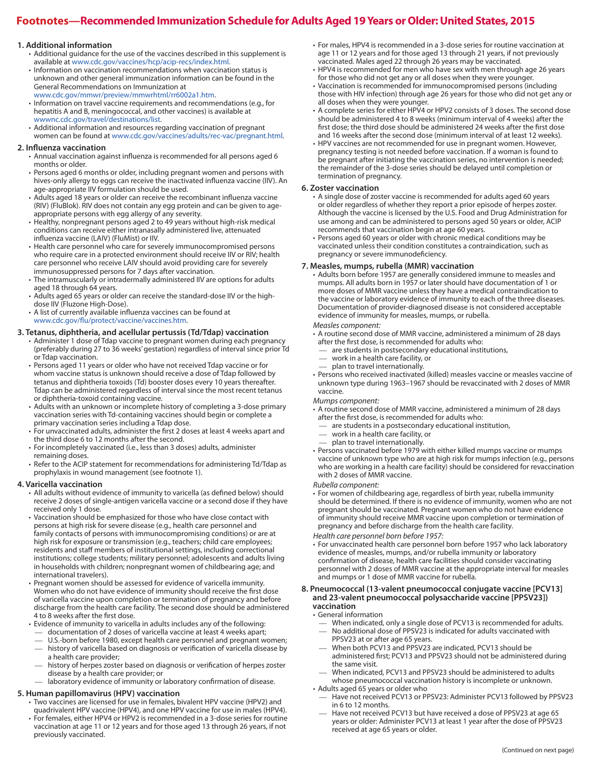# **Footnotes—Recommended Immunization Schedule for Adults Aged 19 Years or Older: United States, 2015**

# **1. Additional information**

- Additional guidance for the use of the vaccines described in this supplement is available at [www.cdc.gov/vaccines/hcp/acip-](www.cdc.gov/vaccines/hcp/acip-recs/index.html)recs[/index.html.](www.cdc.gov/vaccines/hcp/acip-recs/index.html)
- Information on vaccination recommendations when vaccination status is unknown and other general immunization information can be found in the General Recommendations on Immunization at
- [www.cdc.gov/mmwr/preview/mmwrhtml/rr6002a1.htm.](www.cdc.gov/mmwr/preview/mmwrhtml/rr6002a1.htm) • Information on travel vaccine requirements and recommendations (e.g., for hepatitis A and B, meningococcal, and other vaccines) is available at [wwwnc.cdc.gov/travel/destinations/list.](wwwnc.cdc.gov/travel/destinations/list)
- Additional information and resources regarding vaccination of pregnant women can be found at [www.cdc.gov/vaccines/adults/rec-](www.cdc.gov/vaccines/adults/rec-vac/pregnant.html)vac[/pregnant.html](www.cdc.gov/vaccines/adults/rec-vac/pregnant.html).

#### **2. Influenza vaccination**

- Annual vaccination against influenza is recommended for all persons aged 6 months or older.
- Persons aged 6 months or older, including pregnant women and persons with hives-only allergy to eggs can receive the inactivated influenza vaccine (IIV). An age-appropriate IIV formulation should be used.
- Adults aged 18 years or older can receive the recombinant influenza vaccine (RIV) (FluBlok). RIV does not contain any egg protein and can be given to ageappropriate persons with egg allergy of any severity.
- Healthy, nonpregnant persons aged 2 to 49 years without high-risk medical conditions can receive either intranasally administered live, attenuated influenza vaccine (LAIV) (FluMist) or IIV.
- Health care personnel who care for severely immunocompromised persons who require care in a protected environment should receive IIV or RIV; health care personnel who receive LAIV should avoid providing care for severely immunosuppressed persons for 7 days after vaccination.
- The intramuscularly or intradermally administered IIV are options for adults aged 18 through 64 years.
- Adults aged 65 years or older can receive the standard-dose IIV or the highdose IIV (Fluzone High-Dose).
- A list of currently available influenza vaccines can be found at [www.cdc.gov/flu/protect/vaccine/vaccines.htm.](www.cdc.gov/flu/protect/vaccine/vaccines.htm)

# **3. Tetanus, diphtheria, and acellular pertussis (Td/Tdap) vaccination**

- Administer 1 dose of Tdap vaccine to pregnant women during each pregnancy (preferably during 27 to 36 weeks' gestation) regardless of interval since prior Td or Tdap vaccination.
- Persons aged 11 years or older who have not received Tdap vaccine or for whom vaccine status is unknown should receive a dose of Tdap followed by tetanus and diphtheria toxoids (Td) booster doses every 10 years thereafter. Tdap can be administered regardless of interval since the most recent tetanus or diphtheria-toxoid containing vaccine.
- Adults with an unknown or incomplete history of completing a 3-dose primary vaccination series with Td-containing vaccines should begin or complete a primary vaccination series including a Tdap dose.
- For unvaccinated adults, administer the first 2 doses at least 4 weeks apart and the third dose 6 to 12 months after the second.
- For incompletely vaccinated (i.e., less than 3 doses) adults, administer remaining doses.
- Refer to the ACIP statement for recommendations for administering Td/Tdap as prophylaxis in wound management (see footnote 1).

# **4. Varicella vaccination**

- All adults without evidence of immunity to varicella (as defined below) should receive 2 doses of single-antigen varicella vaccine or a second dose if they have received only 1 dose.
- • Vaccination should be emphasized for those who have close contact with persons at high risk for severe disease (e.g., health care personnel and family contacts of persons with immunocompromising conditions) or are at high risk for exposure or transmission (e.g., teachers; child care employees; residents and staff members of institutional settings, including correctional institutions; college students; military personnel; adolescents and adults living in households with children; nonpregnant women of childbearing age; and international travelers).
- Pregnant women should be assessed for evidence of varicella immunity. Women who do not have evidence of immunity should receive the first dose of varicella vaccine upon completion or termination of pregnancy and before discharge from the health care facility. The second dose should be administered 4 to 8 weeks after the first dose.
- Evidence of immunity to varicella in adults includes any of the following: - documentation of 2 doses of varicella vaccine at least 4 weeks apart;
- U.S.-born before 1980, except health care personnel and pregnant women;
- history of varicella based on diagnosis or verification of varicella disease by a health care provider;
- history of herpes zoster based on diagnosis or verification of herpes zoster disease by a health care provider; or
- laboratory evidence of immunity or laboratory confirmation of disease.

#### **5. Human papillomavirus (HPV) vaccination**

- Two vaccines are licensed for use in females, bivalent HPV vaccine (HPV2) and quadrivalent HPV vaccine (HPV4), and one HPV vaccine for use in males (HPV4).
- For females, either HPV4 or HPV2 is recommended in a 3-dose series for routine vaccination at age 11 or 12 years and for those aged 13 through 26 years, if not previously vaccinated.
- For males, HPV4 is recommended in a 3-dose series for routine vaccination at age 11 or 12 years and for those aged 13 through 21 years, if not previously vaccinated. Males aged 22 through 26 years may be vaccinated.
- HPV4 is recommended for men who have sex with men through age 26 years for those who did not get any or all doses when they were younger.
- • Vaccination is recommended for immunocompromised persons (including those with HIV infection) through age 26 years for those who did not get any or all doses when they were younger.
- A complete series for either HPV4 or HPV2 consists of 3 doses. The second dose should be administered 4 to 8 weeks (minimum interval of 4 weeks) after the first dose; the third dose should be administered 24 weeks after the first dose and 16 weeks after the second dose (minimum interval of at least 12 weeks).
- HPV vaccines are not recommended for use in pregnant women. However, pregnancy testing is not needed before vaccination. If a woman is found to be pregnant after initiating the vaccination series, no intervention is needed; the remainder of the 3-dose series should be delayed until completion or termination of pregnancy.

#### **6. Zoster vaccination**

- A single dose of zoster vaccine is recommended for adults aged 60 years or older regardless of whether they report a prior episode of herpes zoster. Although the vaccine is licensed by the U.S. Food and Drug Administration for use among and can be administered to persons aged 50 years or older, ACIP recommends that vaccination begin at age 60 years.
- Persons aged 60 years or older with chronic medical conditions may be vaccinated unless their condition constitutes a contraindication, such as pregnancy or severe immunodeficiency.

# **7. Measles, mumps, rubella (MMR) vaccination**

• Adults born before 1957 are generally considered immune to measles and mumps. All adults born in 1957 or later should have documentation of 1 or more doses of MMR vaccine unless they have a medical contraindication to the vaccine or laboratory evidence of immunity to each of the three diseases. Documentation of provider-diagnosed disease is not considered acceptable evidence of immunity for measles, mumps, or rubella.

#### *Measles component:*

- A routine second dose of MMR vaccine, administered a minimum of 28 days after the first dose, is recommended for adults who:
	- are students in postsecondary educational institutions,
	- work in a health care facility, or
	- plan to travel internationally.
- Persons who received inactivated (killed) measles vaccine or measles vaccine of unknown type during 1963–1967 should be revaccinated with 2 doses of MMR vaccine.

*Mumps component:*

- A routine second dose of MMR vaccine, administered a minimum of 28 days after the first dose, is recommended for adults who:
	- are students in a postsecondary educational institution,
	- work in a health care facility, or
	- plan to travel internationally.
- Persons vaccinated before 1979 with either killed mumps vaccine or mumps vaccine of unknown type who are at high risk for mumps infection (e.g., persons who are working in a health care facility) should be considered for revaccination with 2 doses of MMR vaccine.

#### *Rubella component:*

- For women of childbearing age, regardless of birth year, rubella immunity should be determined. If there is no evidence of immunity, women who are not pregnant should be vaccinated. Pregnant women who do not have evidence of immunity should receive MMR vaccine upon completion or termination of pregnancy and before discharge from the health care facility.
- *Health care personnel born before 1957:*
- For unvaccinated health care personnel born before 1957 who lack laboratory evidence of measles, mumps, and/or rubella immunity or laboratory confirmation of disease, health care facilities should consider vaccinating personnel with 2 doses of MMR vaccine at the appropriate interval for measles and mumps or 1 dose of MMR vaccine for rubella.

#### **8. Pneumococcal (13-valent pneumococcal conjugate vaccine [PCV13] and 23-valent pneumococcal polysaccharide vaccine [PPSV23]) vaccination**

# • General information

- When indicated, only a single dose of PCV13 is recommended for adults.
- No additional dose of PPSV23 is indicated for adults vaccinated with PPSV23 at or after age 65 years.
- When both PCV13 and PPSV23 are indicated, PCV13 should be administered first; PCV13 and PPSV23 should not be administered during the same visit.
- When indicated, PCV13 and PPSV23 should be administered to adults whose pneumococcal vaccination history is incomplete or unknown. • Adults aged 65 years or older who
- Have not received PCV13 or PPSV23: Administer PCV13 followed by PPSV23 in 6 to 12 months.
- Have not received PCV13 but have received a dose of PPSV23 at age 65 years or older: Administer PCV13 at least 1 year after the dose of PPSV23 received at age 65 years or older.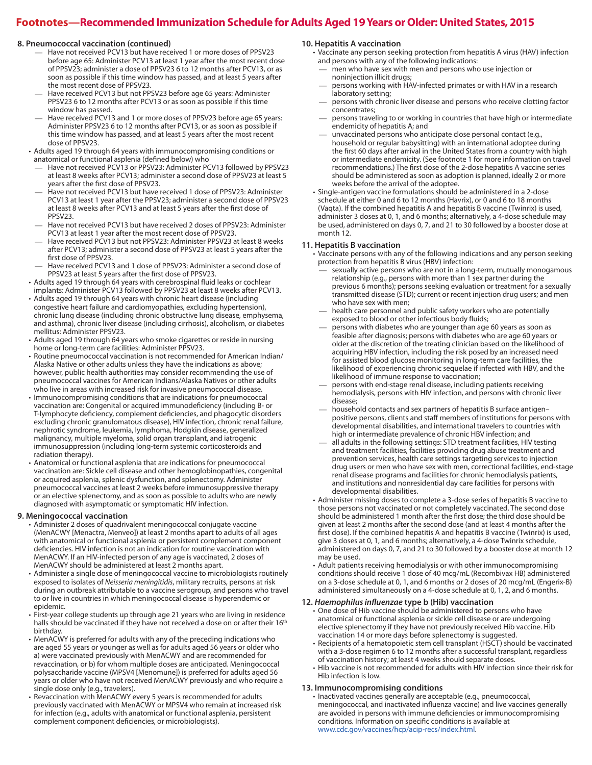# **Footnotes—Recommended Immunization Schedule for Adults Aged 19 Years or Older: United States, 2015**

#### **8. Pneumococcal vaccination (continued)**

- Have not received PCV13 but have received 1 or more doses of PPSV23 before age 65: Administer PCV13 at least 1 year after the most recent dose of PPSV23; administer a dose of PPSV23 6 to 12 months after PCV13, or as soon as possible if this time window has passed, and at least 5 years after the most recent dose of PPSV23.
- Have received PCV13 but not PPSV23 before age 65 years: Administer PPSV23 6 to 12 months after PCV13 or as soon as possible if this time window has passed.
- Have received PCV13 and 1 or more doses of PPSV23 before age 65 years: Administer PPSV23 6 to 12 months after PCV13, or as soon as possible if this time window has passed, and at least 5 years after the most recent dose of PPSV23.
- • Adults aged 19 through 64 years with immunocompromising conditions or anatomical or functional asplenia (defined below) who
	- Have not received PCV13 or PPSV23: Administer PCV13 followed by PPSV23 at least 8 weeks after PCV13; administer a second dose of PPSV23 at least 5 years after the first dose of PPSV23.
- Have not received PCV13 but have received 1 dose of PPSV23: Administer PCV13 at least 1 year after the PPSV23; administer a second dose of PPSV23 at least 8 weeks after PCV13 and at least 5 years after the first dose of PPSV23.
- Have not received PCV13 but have received 2 doses of PPSV23: Administer PCV13 at least 1 year after the most recent dose of PPSV23.
- Have received PCV13 but not PPSV23: Administer PPSV23 at least 8 weeks after PCV13; administer a second dose of PPSV23 at least 5 years after the first dose of PPSV23.
- Have received PCV13 and 1 dose of PPSV23: Administer a second dose of PPSV23 at least 5 years after the first dose of PPSV23.
- Adults aged 19 through 64 years with cerebrospinal fluid leaks or cochlear implants: Administer PCV13 followed by PPSV23 at least 8 weeks after PCV13.
- Adults aged 19 through 64 years with chronic heart disease (including congestive heart failure and cardiomyopathies, excluding hypertension), chronic lung disease (including chronic obstructive lung disease, emphysema, and asthma), chronic liver disease (including cirrhosis), alcoholism, or diabetes mellitus: Administer PPSV23.
- Adults aged 19 through 64 years who smoke cigarettes or reside in nursing home or long-term care facilities: Administer PPSV23.
- Routine pneumococcal vaccination is not recommended for American Indian/ Alaska Native or other adults unless they have the indications as above; however, public health authorities may consider recommending the use of pneumococcal vaccines for American Indians/Alaska Natives or other adults who live in areas with increased risk for invasive pneumococcal disease.
- • Immunocompromising conditions that are indications for pneumococcal vaccination are: Congenital or acquired immunodeficiency (including B- or T-lymphocyte deficiency, complement deficiencies, and phagocytic disorders excluding chronic granulomatous disease), HIV infection, chronic renal failure, nephrotic syndrome, leukemia, lymphoma, Hodgkin disease, generalized malignancy, multiple myeloma, solid organ transplant, and iatrogenic immunosuppression (including long-term systemic corticosteroids and radiation therapy).
- Anatomical or functional asplenia that are indications for pneumococcal vaccination are: Sickle cell disease and other hemoglobinopathies, congenital or acquired asplenia, splenic dysfunction, and splenectomy. Administer pneumococcal vaccines at least 2 weeks before immunosuppressive therapy or an elective splenectomy, and as soon as possible to adults who are newly diagnosed with asymptomatic or symptomatic HIV infection.

# **9. Meningococcal vaccination**

- Administer 2 doses of quadrivalent meningococcal conjugate vaccine (MenACWY [Menactra, Menveo]) at least 2 months apart to adults of all ages with anatomical or functional asplenia or persistent complement component deficiencies. HIV infection is not an indication for routine vaccination with MenACWY. If an HIV-infected person of any age is vaccinated, 2 doses of MenACWY should be administered at least 2 months apart.
- Administer a single dose of meningococcal vaccine to microbiologists routinely exposed to isolates of *Neisseria meningitidis*, military recruits, persons at risk during an outbreak attributable to a vaccine serogroup, and persons who travel to or live in countries in which meningococcal disease is hyperendemic or epidemic.
- First-year college students up through age 21 years who are living in residence halls should be vaccinated if they have not received a dose on or after their 16<sup>th</sup> birthday.
- MenACWY is preferred for adults with any of the preceding indications who are aged 55 years or younger as well as for adults aged 56 years or older who a) were vaccinated previously with MenACWY and are recommended for revaccination, or b) for whom multiple doses are anticipated. Meningococcal polysaccharide vaccine (MPSV4 [Menomune]) is preferred for adults aged 56 years or older who have not received MenACWY previously and who require a single dose only (e.g., travelers).
- Revaccination with MenACWY every 5 years is recommended for adults previously vaccinated with MenACWY or MPSV4 who remain at increased risk for infection (e.g., adults with anatomical or functional asplenia, persistent complement component deficiencies, or microbiologists).

#### **10. Hepatitis A vaccination**

- • Vaccinate any person seeking protection from hepatitis A virus (HAV) infection and persons with any of the following indications:
	- men who have sex with men and persons who use injection or noninjection illicit drugs;
	- persons working with HAV-infected primates or with HAV in a research laboratory setting;
	- persons with chronic liver disease and persons who receive clotting factor concentrates;
	- persons traveling to or working in countries that have high or intermediate endemicity of hepatitis A; and
	- unvaccinated persons who anticipate close personal contact (e.g., household or regular babysitting) with an international adoptee during the first 60 days after arrival in the United States from a country with high or intermediate endemicity. (See footnote 1 for more information on travel recommendations.) The first dose of the 2-dose hepatitis A vaccine series should be administered as soon as adoption is planned, ideally 2 or more weeks before the arrival of the adoptee.
- • Single-antigen vaccine formulations should be administered in a 2-dose schedule at either 0 and 6 to 12 months (Havrix), or 0 and 6 to 18 months (Vaqta). If the combined hepatitis A and hepatitis B vaccine (Twinrix) is used, administer 3 doses at 0, 1, and 6 months; alternatively, a 4-dose schedule may be used, administered on days 0, 7, and 21 to 30 followed by a booster dose at month 12.

#### **11. Hepatitis B vaccination**

• Vaccinate persons with any of the following indications and any person seeking protection from hepatitis B virus (HBV) infection:

- sexually active persons who are not in a long-term, mutually monogamous relationship (e.g., persons with more than 1 sex partner during the previous 6 months); persons seeking evaluation or treatment for a sexually transmitted disease (STD); current or recent injection drug users; and men who have sex with men;
- health care personnel and public safety workers who are potentially exposed to blood or other infectious body fluids;
- persons with diabetes who are younger than age 60 years as soon as feasible after diagnosis; persons with diabetes who are age 60 years or older at the discretion of the treating clinician based on the likelihood of acquiring HBV infection, including the risk posed by an increased need for assisted blood glucose monitoring in long-term care facilities, the likelihood of experiencing chronic sequelae if infected with HBV, and the likelihood of immune response to vaccination;
- persons with end-stage renal disease, including patients receiving hemodialysis, persons with HIV infection, and persons with chronic liver disease;
- household contacts and sex partners of hepatitis B surface antigenpositive persons, clients and staff members of institutions for persons with developmental disabilities, and international travelers to countries with high or intermediate prevalence of chronic HBV infection; and
- all adults in the following settings: STD treatment facilities, HIV testing and treatment facilities, facilities providing drug abuse treatment and prevention services, health care settings targeting services to injection drug users or men who have sex with men, correctional facilities, end-stage renal disease programs and facilities for chronic hemodialysis patients, and institutions and nonresidential day care facilities for persons with developmental disabilities.
- Administer missing doses to complete a 3-dose series of hepatitis B vaccine to those persons not vaccinated or not completely vaccinated. The second dose should be administered 1 month after the first dose; the third dose should be given at least 2 months after the second dose (and at least 4 months after the first dose). If the combined hepatitis A and hepatitis B vaccine (Twinrix) is used, give 3 doses at 0, 1, and 6 months; alternatively, a 4-dose Twinrix schedule, administered on days 0, 7, and 21 to 30 followed by a booster dose at month 12 may be used.
- Adult patients receiving hemodialysis or with other immunocompromising conditions should receive 1 dose of 40 mcg/mL (Recombivax HB) administered on a 3-dose schedule at 0, 1, and 6 months or 2 doses of 20 mcg/mL (Engerix-B) administered simultaneously on a 4-dose schedule at 0, 1, 2, and 6 months.

# **12.** *Haemophilus influenzae* **type b (Hib) vaccination**

- One dose of Hib vaccine should be administered to persons who have anatomical or functional asplenia or sickle cell disease or are undergoing elective splenectomy if they have not previously received Hib vaccine. Hib vaccination 14 or more days before splenectomy is suggested.
- Recipients of a hematopoietic stem cell transplant (HSCT) should be vaccinated with a 3-dose regimen 6 to 12 months after a successful transplant, regardless of vaccination history; at least 4 weeks should separate doses.
- Hib vaccine is not recommended for adults with HIV infection since their risk for Hib infection is low.

#### **13. Immunocompromising conditions**

• Inactivated vaccines generally are acceptable (e.g., pneumococcal, meningococcal, and inactivated influenza vaccine) and live vaccines generally are avoided in persons with immune deficiencies or immunocompromising conditions. Information on specific conditions is available at [www.cdc.gov/vaccines/hcp/acip](www.cdc.gov/vaccines/hcp/acip-recs/index.html)-recs/[index.html](www.cdc.gov/vaccines/hcp/acip-recs/index.html).